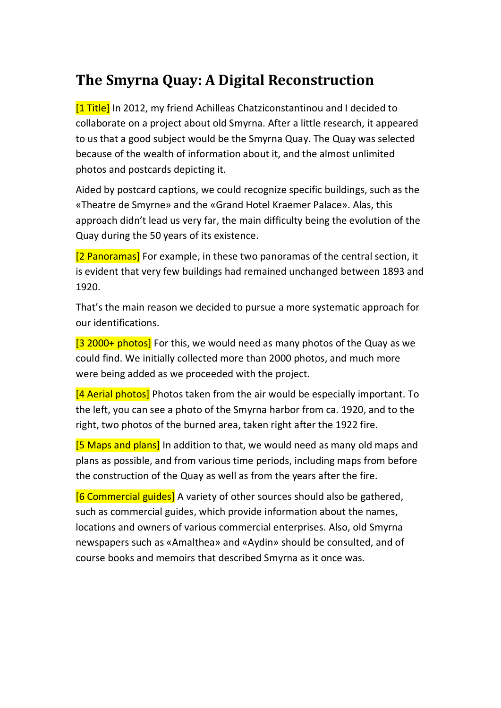## **The Smyrna Quay: A Digital Reconstruction**

[1 Title] In 2012, my friend Achilleas Chatziconstantinou and I decided to collaborate on a project about old Smyrna. After a little research, it appeared to us that a good subject would be the Smyrna Quay. The Quay was selected because of the wealth of information about it, and the almost unlimited photos and postcards depicting it.

Aided by postcard captions, we could recognize specific buildings, such as the «Theatre de Smyrne» and the «Grand Hotel Kraemer Palace». Alas, this approach didn't lead us very far, the main difficulty being the evolution of the Quay during the 50 years of its existence.

[2 Panoramas] For example, in these two panoramas of the central section, it is evident that very few buildings had remained unchanged between 1893 and 1920.

That's the main reason we decided to pursue a more systematic approach for our identifications.

[3 2000+ photos] For this, we would need as many photos of the Quay as we could find. We initially collected more than 2000 photos, and much more were being added as we proceeded with the project.

[4 Aerial photos] Photos taken from the air would be especially important. To the left, you can see a photo of the Smyrna harbor from ca. 1920, and to the right, two photos of the burned area, taken right after the 1922 fire.

[5 Maps and plans] In addition to that, we would need as many old maps and plans as possible, and from various time periods, including maps from before the construction of the Quay as well as from the years after the fire.

[6 Commercial guides] A variety of other sources should also be gathered, such as commercial guides, which provide information about the names, locations and owners of various commercial enterprises. Also, old Smyrna newspapers such as «Amalthea» and «Aydin» should be consulted, and of course books and memoirs that described Smyrna as it once was.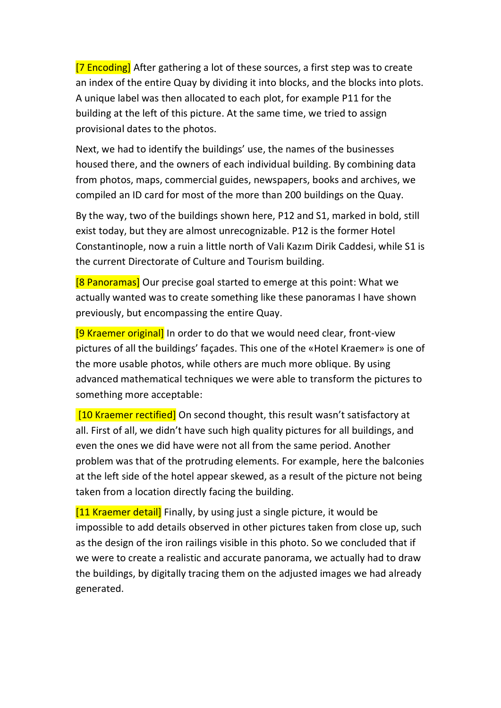[7 Encoding] After gathering a lot of these sources, a first step was to create an index of the entire Quay by dividing it into blocks, and the blocks into plots. A unique label was then allocated to each plot, for example P11 for the building at the left of this picture. At the same time, we tried to assign provisional dates to the photos.

Next, we had to identify the buildings' use, the names of the businesses housed there, and the owners of each individual building. By combining data from photos, maps, commercial guides, newspapers, books and archives, we compiled an ID card for most of the more than 200 buildings on the Quay.

By the way, two of the buildings shown here, P12 and S1, marked in bold, still exist today, but they are almost unrecognizable. P12 is the former Hotel Constantinople, now a ruin a little north of Vali Kazım Dirik Caddesi, while S1 is the current Directorate of Culture and Tourism building.

[8 Panoramas] Our precise goal started to emerge at this point: What we actually wanted was to create something like these panoramas I have shown previously, but encompassing the entire Quay.

[9 Kraemer original] In order to do that we would need clear, front-view pictures of all the buildings' façades. This one of the «Hotel Kraemer» is one of the more usable photos, while others are much more oblique. By using advanced mathematical techniques we were able to transform the pictures to something more acceptable:

[10 Kraemer rectified] On second thought, this result wasn't satisfactory at all. First of all, we didn't have such high quality pictures for all buildings, and even the ones we did have were not all from the same period. Another problem was that of the protruding elements. For example, here the balconies at the left side of the hotel appear skewed, as a result of the picture not being taken from a location directly facing the building.

[11 Kraemer detail] Finally, by using just a single picture, it would be impossible to add details observed in other pictures taken from close up, such as the design of the iron railings visible in this photo. So we concluded that if we were to create a realistic and accurate panorama, we actually had to draw the buildings, by digitally tracing them on the adjusted images we had already generated.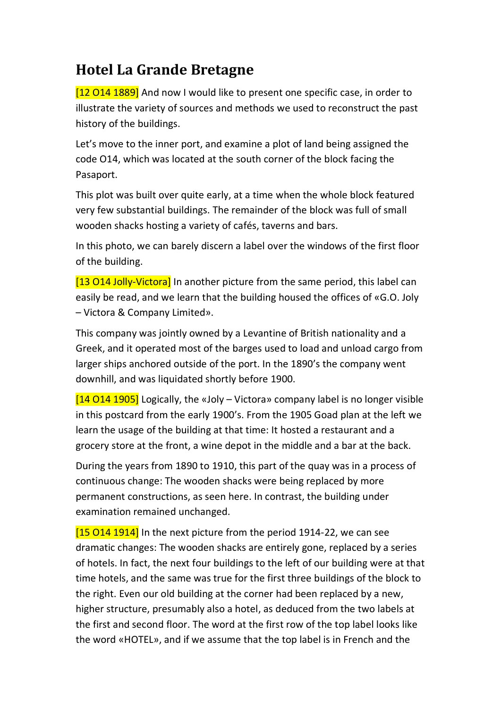## **Hotel La Grande Bretagne**

[12 O14 1889] And now I would like to present one specific case, in order to illustrate the variety of sources and methods we used to reconstruct the past history of the buildings.

Let's move to the inner port, and examine a plot of land being assigned the code O14, which was located at the south corner of the block facing the Pasaport.

This plot was built over quite early, at a time when the whole block featured very few substantial buildings. The remainder of the block was full of small wooden shacks hosting a variety of cafés, taverns and bars.

In this photo, we can barely discern a label over the windows of the first floor of the building.

[13 O14 Jolly-Victora] In another picture from the same period, this label can easily be read, and we learn that the building housed the offices of «G.O. Joly – Victora & Company Limited».

This company was jointly owned by a Levantine of British nationality and a Greek, and it operated most of the barges used to load and unload cargo from larger ships anchored outside of the port. In the 1890's the company went downhill, and was liquidated shortly before 1900.

[14 O14 1905] Logically, the «Joly – Victora» company label is no longer visible in this postcard from the early 1900's. From the 1905 Goad plan at the left we learn the usage of the building at that time: It hosted a restaurant and a grocery store at the front, a wine depot in the middle and a bar at the back.

During the years from 1890 to 1910, this part of the quay was in a process of continuous change: The wooden shacks were being replaced by more permanent constructions, as seen here. In contrast, the building under examination remained unchanged.

 $[150141914]$  In the next picture from the period 1914-22, we can see dramatic changes: The wooden shacks are entirely gone, replaced by a series of hotels. In fact, the next four buildings to the left of our building were at that time hotels, and the same was true for the first three buildings of the block to the right. Even our old building at the corner had been replaced by a new, higher structure, presumably also a hotel, as deduced from the two labels at the first and second floor. The word at the first row of the top label looks like the word «HOTEL», and if we assume that the top label is in French and the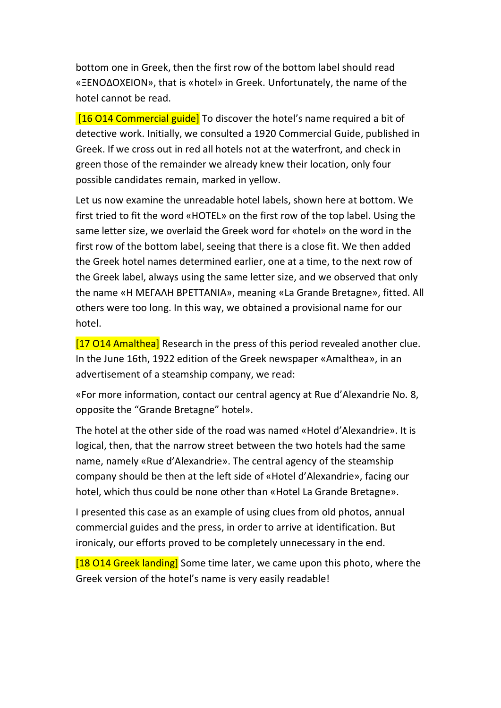bottom one in Greek, then the first row of the bottom label should read «ΞΕΝΟΔΟΧΕΙΟΝ», that is «hotel» in Greek. Unfortunately, the name of the hotel cannot be read.

[16 O14 Commercial guide] To discover the hotel's name required a bit of detective work. Initially, we consulted a 1920 Commercial Guide, published in Greek. If we cross out in red all hotels not at the waterfront, and check in green those of the remainder we already knew their location, only four possible candidates remain, marked in yellow.

Let us now examine the unreadable hotel labels, shown here at bottom. We first tried to fit the word «HOTEL» on the first row of the top label. Using the same letter size, we overlaid the Greek word for «hotel» on the word in the first row of the bottom label, seeing that there is a close fit. We then added the Greek hotel names determined earlier, one at a time, to the next row of the Greek label, always using the same letter size, and we observed that only the name «Η ΜΕΓΑΛΗ ΒΡΕΤΤΑΝΙΑ», meaning «La Grande Bretagne», fitted. All others were too long. In this way, we obtained a provisional name for our hotel.

[17 O14 Amalthea] Research in the press of this period revealed another clue. In the June 16th, 1922 edition of the Greek newspaper «Amalthea», in an advertisement of a steamship company, we read:

«For more information, contact our central agency at Rue d'Alexandrie No. 8, opposite the "Grande Bretagne" hotel».

The hotel at the other side of the road was named «Hotel d'Alexandrie». It is logical, then, that the narrow street between the two hotels had the same name, namely «Rue d'Alexandrie». The central agency of the steamship company should be then at the left side of «Hotel d'Alexandrie», facing our hotel, which thus could be none other than «Hotel La Grande Bretagne».

I presented this case as an example of using clues from old photos, annual commercial guides and the press, in order to arrive at identification. But ironicaly, our efforts proved to be completely unnecessary in the end.

[18 O14 Greek landing] Some time later, we came upon this photo, where the Greek version of the hotel's name is very easily readable!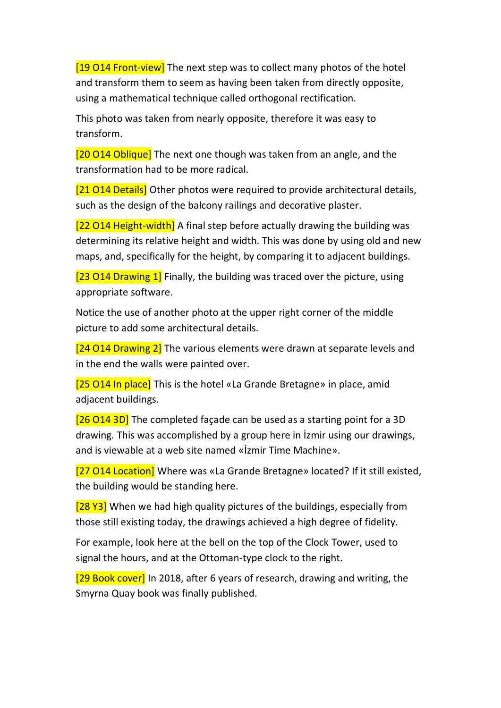[19 O14 Front-view] The next step was to collect many photos of the hotel and transform them to seem as having been taken from directly opposite, using a mathematical technique called orthogonal rectification.

This photo was taken from nearly opposite, therefore it was easy to transform.

[20 O14 Oblique] The next one though was taken from an angle, and the transformation had to be more radical.

[21 O14 Details] Other photos were required to provide architectural details, such as the design of the balcony railings and decorative plaster.

[22 O14 Height-width] A final step before actually drawing the building was determining its relative height and width. This was done by using old and new maps, and, specifically for the height, by comparing it to adjacent buildings.

[23 O14 Drawing 1] Finally, the building was traced over the picture, using appropriate software.

Notice the use of another photo at the upper right corner of the middle picture to add some architectural details.

[24 O14 Drawing 2] The various elements were drawn at separate levels and in the end the walls were painted over.

[25 O14 In place] This is the hotel «La Grande Bretagne» in place, amid adjacent buildings.

[26 O14 3D] The completed façade can be used as a starting point for a 3D drawing. This was accomplished by a group here in İzmir using our drawings, and is viewable at a web site named «İzmir Time Machine».

[27 O14 Location] Where was «La Grande Bretagne» located? If it still existed, the building would be standing here.

[28 Y3] When we had high quality pictures of the buildings, especially from those still existing today, the drawings achieved a high degree of fidelity.

For example, look here at the bell on the top of the Clock Tower, used to signal the hours, and at the Ottoman-type clock to the right.

[29 Book cover] In 2018, after 6 years of research, drawing and writing, the Smyrna Quay book was finally published.